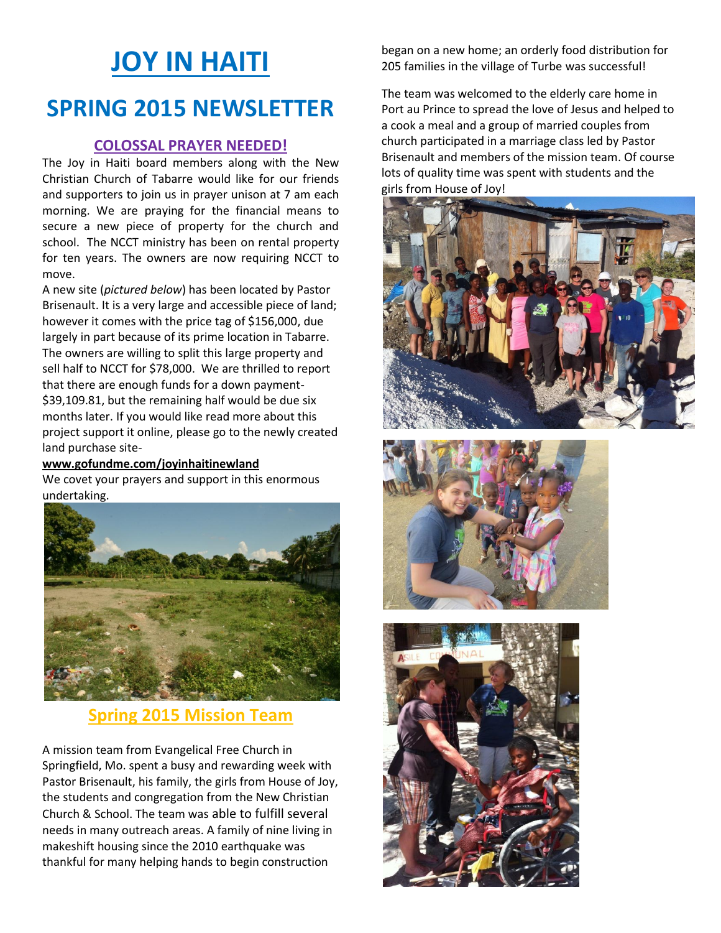# **JOY IN HAITI SPRING 2015 NEWSLETTER**

### **COLOSSAL PRAYER NEEDED!**

The Joy in Haiti board members along with the New Christian Church of Tabarre would like for our friends and supporters to join us in prayer unison at 7 am each morning. We are praying for the financial means to secure a new piece of property for the church and school. The NCCT ministry has been on rental property for ten years. The owners are now requiring NCCT to move.

A new site (*pictured below*) has been located by Pastor Brisenault. It is a very large and accessible piece of land; however it comes with the price tag of \$156,000, due largely in part because of its prime location in Tabarre. The owners are willing to split this large property and sell half to NCCT for \$78,000. We are thrilled to report that there are enough funds for a down payment- \$39,109.81, but the remaining half would be due six months later. If you would like read more about this project support it online, please go to the newly created land purchase site-

#### **www.gofundme.com/joyinhaitinewland**

We covet your prayers and support in this enormous undertaking.



## **Spring 2015 Mission Team**

A mission team from Evangelical Free Church in Springfield, Mo. spent a busy and rewarding week with Pastor Brisenault, his family, the girls from House of Joy, the students and congregation from the New Christian Church & School. The team was able to fulfill several needs in many outreach areas. A family of nine living in makeshift housing since the 2010 earthquake was thankful for many helping hands to begin construction

began on a new home; an orderly food distribution for 205 families in the village of Turbe was successful!

The team was welcomed to the elderly care home in Port au Prince to spread the love of Jesus and helped to a cook a meal and a group of married couples from church participated in a marriage class led by Pastor Brisenault and members of the mission team. Of course lots of quality time was spent with students and the girls from House of Joy!